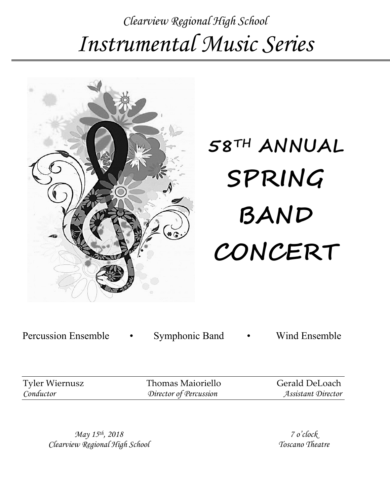# *Clearview Regional High School Instrumental Music Series*



# **58TH ANNUAL SPRING BAND CONCERT**

Percussion Ensemble • Symphonic Band • Wind Ensemble

| <b>Tyler Wiernusz</b> |  |
|-----------------------|--|
| Conductor             |  |

Thomas Maioriello Gerald DeLoach *Conductor Director of Percussion Assistant Director*

*May 15th, 2018 Clearview Regional High School*

*7 o'clock Toscano Theatre*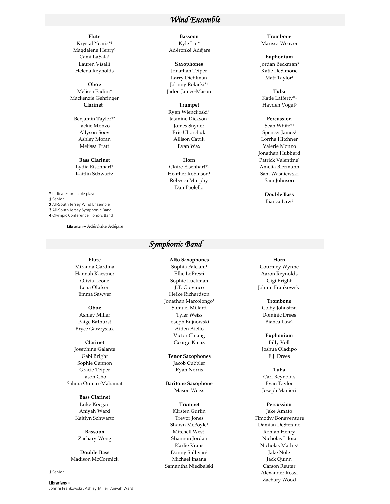### *Wind Ensemble*

**Flute** Krystal Yearis\*4 Magdalene Henry1 Cami LaSala1 Lauren Visalli Helena Reynolds

**Oboe** Melissa Fadini\* Mackenzie Gehringer **Clarinet**

Benjamin Taylor\*2 Jackie Monzo Allyson Sooy Ashley Moran Melissa Pratt

**Bass Clarinet** Lydia Eisenhart\* Kaitlin Schwartz

\* Indicates principle player 1 Senior

2 All-South Jersey Wind Ensemble

3 All-South Jersey Symphonic Band 4 Olympic Conference Honors Band

Librarian – Adérónké Adéjare

**Flute** Miranda Gardina Hannah Kaestner Olivia Leone Lena Olafsen Emma Sawyer

**Oboe** Ashley Miller Paige Bathurst Bryce Gawrysiak

### **Clarinet** Josephine Galante Gabi Bright Sophie Cannon Gracie Teiper Jason Cho Salima Oumar-Mahamat

**Bass Clarinet** Luke Keegan Aniyah Ward Kaitlyn Schwartz

**Bassoon** Zachary Weng

**Double Bass** Madison McCormick

### 1 Senior

Librarians – Johnni Frankowski , Ashley Miller, Aniyah Ward

### **Bassoon**

Kyle Lin\* Adérónké Adéjare

**Saxophones**

Jonathan Teiper Larry Diehlman Johnny Rokicki\*1 Jaden James-Mason

### **Trumpet**

Ryan Wienckoski\* Jasmine Dickson3 James Snyder Eric Uhorchuk Allison Capik Evan Wax

**Horn**

Claire Eisenhart\*1 Heather Robinson<sup>1</sup> Rebecca Murphy Dan Paolello

### **Trombone** Marissa Weaver

**Euphonium** Jordan Beckman3 Katie DeSimone Matt Taylor<sup>1</sup>

**Tuba** Katie Lafferty\*1

Hayden Vogel3 **Percussion** Sean White\*1 Spencer James<sup>1</sup> Lorrha Hitchner Valerie Monzo Jonathan Hubbard Patrick Valentine1

Amelia Biermann Sam Wasniewski Sam Johnson

> **Double Bass** Bianca Law1

### *Symphonic Band*

**Alto Saxophones**

Sophia Falciani1 Ellie LoPresti Sophie Luckman J.T. Giovinco Heike Richardson Jonathan Marcolongo<sup>1</sup> Samuel Millard Tyler Weiss Joseph Bujnowski Aiden Aiello Victor Chiang George Kniaz

**Tenor Saxophones** Jacob Cubbler Ryan Norris

**Baritone Saxophone** Mason Weiss

**Trumpet** Kirsten Gurlin Trevor Jones Shawn McPoyle1 Mitchell West<sup>1</sup> Shannon Jordan Karlie Kraus Danny Sullivan<sup>1</sup> Michael Insana Samantha Niedbalski

### **Horn**

Courtney Wynne Aaron Reynolds Gigi Bright Johnni Frankowski

### **Trombone**

Colby Johnston Dominic Drees Bianca Law1

### **Euphonium**

Billy Voll Joshua Oladipo E.J. Drees

**Tuba** Carl Reynolds Evan Taylor Joseph Manieri

### **Percussion**

Jake Amato Timothy Bonaventure Damian DeStefano Roman Henry Nicholas Liloia Nicholas Mathis1 Jake Nole Jack Quinn Carson Reuter Alexander Rossi Zachary Wood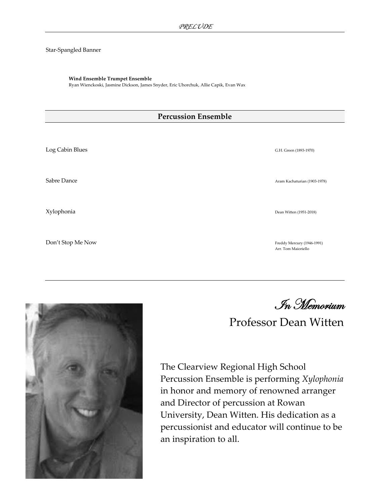### Star-Spangled Banner

### **Wind Ensemble Trumpet Ensemble**

Ryan Wienckoski, Jasmine Dickson, James Snyder, Eric Uhorchuk, Allie Capik, Evan Wax

### **Percussion Ensemble**

Log Cabin Blues G.H. Green (1893-1970) Sabre Dance Aram Kachaturian (1903-1978) and the Sabre Dance Aram Kachaturian (1903-1978) Xylophonia Dean Witten (1951-2018) Don't Stop Me Now Freddy Mercury (1946-1991) Arr. Tom Maioriello



In Memorium

## Professor Dean Witten

The Clearview Regional High School Percussion Ensemble is performing *Xylophonia* in honor and memory of renowned arranger and Director of percussion at Rowan University, Dean Witten. His dedication as a percussionist and educator will continue to be an inspiration to all.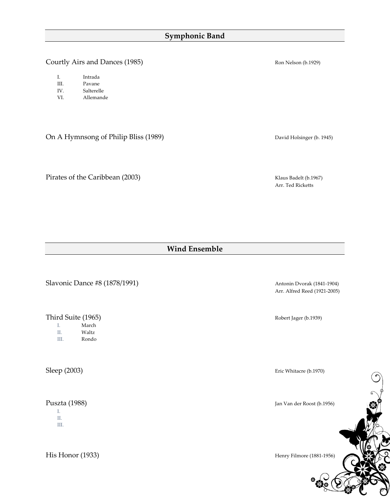### **Symphonic Band**

Courtly Airs and Dances (1985) **Courtly Airs and Dances (1985) Ron** Nelson (b.1929)

- III. Pavane
- IV. Salterelle
- VI. Allemande

On A Hymnsong of Philip Bliss (1989) David Holsinger (b. 1945)

Pirates of the Caribbean (2003) Klaus Badelt (b.1967)

Arr. Ted Ricketts

### **Wind Ensemble**

Slavonic Dance #8 (1878/1991) Antonin Dvorak (1841-1904)

Third Suite (1965)<br>
I. March Robert Jager (b.1939)

- March
- II. Waltz
- III. Rondo

I. II.

III.

His Honor (1933) Henry Filmore (1881-1956)

Arr. Alfred Reed (1921-2005)

Sleep (2003) Eric Whitacre (b.1970)

Puszta (1988) Jan Van der Roost (b.1956)

 $\bigodot$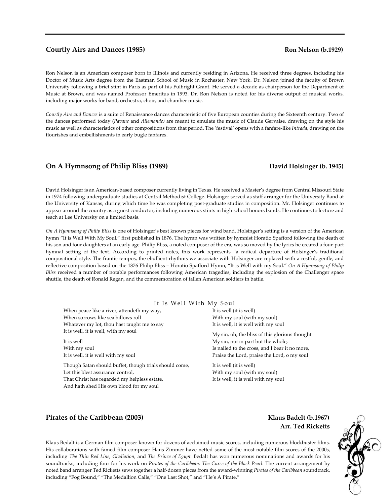### **Courtly Airs and Dances (1985)** Ron Nelson (b.1929)

Ron Nelson is an American composer born in Illinois and currently residing in Arizona. He received three degrees, including his Doctor of Music Arts degree from the Eastman School of Music in Rochester, New York. Dr. Nelson joined the faculty of Brown University following a brief stint in Paris as part of his Fulbright Grant. He served a decade as chairperson for the Department of Music at Brown, and was named Professor Emeritus in 1993. Dr. Ron Nelson is noted for his diverse output of musical works, including major works for band, orchestra, choir, and chamber music.

*Courtly Airs and Dances* is a suite of Renaissance dances characteristic of five European counties during the Sixteenth century. Two of the dances performed today (*Pavane* and *Allemande)* are meant to emulate the music of Claude Gervaise, drawing on the style his music as well as characteristics of other compositions from that period. The 'festival' opens with a fanfare-like *Intrada*, drawing on the flourishes and embellishments in early bugle fanfares.

### **On A Hymnsong of Philip Bliss (1989)** David Holsinger (b. 1945)

David Holsinger is an American-based composer currently living in Texas. He received a Master's degree from Central Missouri State in 1974 following undergraduate studies at Central Methodist College. Holsinger served as staff arranger for the University Band at the University of Kansas, during which time he was completing post-graduate studies in composition. Mr. Holsinger continues to appear around the country as a guest conductor, including numerous stints in high school honors bands. He continues to lecture and teach at Lee University on a limited basis.

*On A Hymnsong of Philip Bliss* is one of Holsinger's best known pieces for wind band. Holsinger's setting is a version of the American hymn "It is Well With My Soul," first published in 1876. The hymn was written by hymnist Horatio Spafford following the death of his son and four daughters at an early age. Philip Bliss, a noted composer of the era, was so moved by the lyrics he created a four-part hymnal setting of the text. According to printed notes, this work represents "a radical departure of Holsinger's traditional compositional style. The frantic tempos, the ebullient rhythms we associate with Holsinger are replaced with a restful, gentle, and reflective composition based on the 1876 Philip Bliss – Horatio Spafford Hymn, "It is Well with my Soul." *On A Hymnsong of Philip Bliss* received a number of notable performances following American tragedies, including the explosion of the Challenger space shuttle, the death of Ronald Regan, and the commemoration of fallen American soldiers in battle.

### It Is Well With My Soul

When peace like a river, attendeth my way, When sorrows like sea billows roll Whatever my lot, thou hast taught me to say It is well, it is well, with my soul

It is well With my soul It is well, it is well with my soul

Though Satan should buffet, though trials should come, Let this blest assurance control, That Christ has regarded my helpless estate, And hath shed His own blood for my soul

It is well (it is well) With my soul (with my soul) It is well, it is well with my soul

My sin, oh, the bliss of this glorious thought My sin, not in part but the whole, Is nailed to the cross, and I bear it no more, Praise the Lord, praise the Lord, o my soul

It is well (it is well) With my soul (with my soul) It is well, it is well with my soul

### **Pirates of the Caribbean (2003)** The Casset Constantine Equation of the Caribbean (2003) The Casset Constantine Equation of the Caribbean (2003)

 **Arr. Ted Ricketts**

Klaus Bedalt is a German film composer known for dozens of acclaimed music scores, including numerous blockbuster films. His collaborations with famed film composer Hans Zimmer have netted some of the most notable film scores of the 2000s, including *The Thin Red Line, Gladiation,* and *The Prince of Egypt.* Bedalt has won numerous nominations and awards for his soundtracks, including four for his work on *Pirates of the Caribbean*: *The Curse of the Black Pearl*. The current arrangement by noted band arranger Ted Ricketts sews together a half-dozen pieces from the award-winning *Pirates of the Caribbean* soundtrack, including "Fog Bound," "The Medallion Calls," "One Last Shot," and "He's A Pirate."

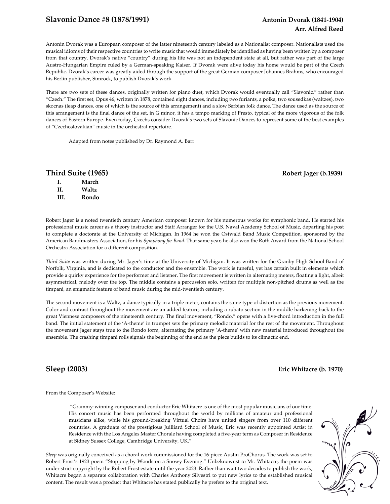### **Slavonic Dance #8 (1878/1991) Antonin Dvorak (1841-1904)**

# **Arr. Alfred Reed**

Antonin Dvorak was a European composer of the latter nineteenth century labeled as a Nationalist composer. Nationalists used the musical idioms of their respective countries to write music that would immediately be identified as having been written by a composer from that country. Dvorak's native "country" during his life was not an independent state at all, but rather was part of the large Austro-Hungarian Empire ruled by a German-speaking Kaiser. If Dvorak were alive today his home would be part of the Czech Republic. Dvorak's career was greatly aided through the support of the great German composer Johannes Brahms, who encouraged his Berlin publisher, Simrock, to publish Dvorak's work.

There are two sets of these dances, originally written for piano duet, which Dvorak would eventually call "Slavonic," rather than "Czech." The first set, Opus 46, written in 1878, contained eight dances, including two furiants, a polka, two sousedkas (waltzes), two skocnas (leap dances, one of which is the source of this arrangement) and a slow Serbian folk dance. The dance used as the source of this arrangement is the final dance of the set, in G minor, it has a tempo marking of Presto, typical of the more vigorous of the folk dances of Eastern Europe. Even today, Czechs consider Dvorak's two sets of Slavonic Dances to represent some of the best examples of "Czechoslovakian" music in the orchestral repertoire.

Adapted from notes published by Dr. Raymond A. Barr

### **Third Suite (1965)** Robert Jager (b.1939)

| L   | March |
|-----|-------|
| H.  | Waltz |
| HI. | Rondo |

Robert Jager is a noted twentieth century American composer known for his numerous works for symphonic band. He started his professional music career as a theory instructor and Staff Arranger for the U.S. Naval Academy School of Music, departing his post to complete a doctorate at the University of Michigan. In 1964 he won the Ostwald Band Music Competition, sponsored by the American Bandmasters Association, for his *Symphony for Band*. That same year, he also won the Roth Award from the National School Orchestra Association for a different composition.

*Third Suite* was written during Mr. Jager's time at the University of Michigan. It was written for the Granby High School Band of Norfolk, Virginia, and is dedicated to the conductor and the ensemble. The work is tuneful, yet has certain built in elements which provide a quirky experience for the performer and listener. The first movement is written in alternating meters, floating a light, albeit asymmetrical, melody over the top. The middle contains a percussion solo, written for multiple non-pitched drums as well as the timpani, an enigmatic feature of band music during the mid-twentieth century.

The second movement is a Waltz, a dance typically in a triple meter, contains the same type of distortion as the previous movement. Color and contrast throughout the movement are an added feature, including a rubato section in the middle harkening back to the great Viennese composers of the nineteenth century. The final movement, "Rondo," opens with a five-chord introduction in the full band. The initial statement of the 'A-theme' in trumpet sets the primary melodic material for the rest of the movement. Throughout the movement Jager stays true to the Rondo form, alternating the primary 'A-theme' with new material introduced throughout the ensemble. The crashing timpani rolls signals the beginning of the end as the piece builds to its climactic end.

### **Sleep (2003) Eric Whitacre (b. 1970)**

From the Composer's Website:

"Grammy-winning composer and conductor Eric Whitacre is one of the most popular musicians of our time. His concert music has been performed throughout the world by millions of amateur and professional musicians alike, while his ground-breaking Virtual Choirs have united singers from over 110 different countries. A graduate of the prestigious Juilliard School of Music, Eric was recently appointed Artist in Residence with the Los Angeles Master Chorale having completed a five-year term as Composer in Residence at Sidney Sussex College, Cambridge University, UK."

*Sleep* was originally conceived as a choral work commissioned for the 16-piece Austin ProChorus. The work was set to Robert Frost's 1923 poem "Stopping by Woods on a Snowy Evening." Unbeknownst to Mr. Whitacre, the poem was under strict copyright by the Robert Frost estate until the year 2023. Rather than wait two decades to publish the work, Whitacre began a separate collaboration with Charles Anthony Silvestri to put new lyrics to the established musical content. The result was a product that Whitacre has stated publically he prefers to the original text.

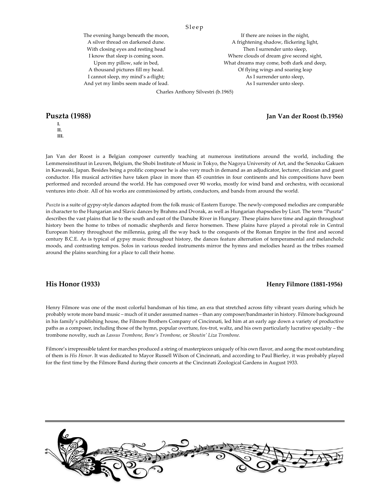Sleep

The evening hangs beneath the moon, A silver thread on darkened dune. With closing eyes and resting head I know that sleep is coming soon. Upon my pillow, safe in bed, A thousand pictures fill my head. I cannot sleep, my mind's a-flight; And yet my limbs seem made of lead.

If there are noises in the night, A frightening shadow, flickering light, Then I surrender unto sleep, Where clouds of dream give second sight, What dreams may come, both dark and deep, Of flying wings and soaring leap As I surrender unto sleep, As I surrender unto sleep.

Charles Anthony Silvestri (b.1965)

**I. II. III.**

Jan Van der Roost is a Belgian composer currently teaching at numerous institutions around the world, including the Lemmensinstituut in Leuven, Belgium, the Shobi Institute of Music in Tokyo, the Nagoya University of Art, and the Senzoku Gakuen in Kawasaki, Japan. Besides being a prolific composer he is also very much in demand as an adjudicator, lecturer, clinician and guest conductor. His musical activities have taken place in more than 45 countries in four continents and his compositions have been performed and recorded around the world. He has composed over 90 works, mostly for wind band and orchestra, with occasional ventures into choir. All of his works are commissioned by artists, conductors, and bands from around the world.

*Puszta* is a suite of gypsy-style dances adapted from the folk music of Eastern Europe. The newly-composed melodies are comparable in character to the Hungarian and Slavic dances by Brahms and Dvorak, as well as Hungarian rhapsodies by Liszt. The term "Puszta" describes the vast plains that lie to the south and east of the Danube River in Hungary. These plains have time and again throughout history been the home to tribes of nomadic shepherds and fierce horsemen. These plains have played a pivotal role in Central European history throughout the millennia, going all the way back to the conquests of the Roman Empire in the first and second century B.C.E. As is typical of gypsy music throughout history, the dances feature alternation of temperamental and melancholic moods, and contrasting tempos. Solos in various reeded instruments mirror the hymns and melodies heard as the tribes roamed around the plains searching for a place to call their home.

### **His Honor (1933) Henry Filmore (1881-1956)**

Henry Filmore was one of the most colorful bandsman of his time, an era that stretched across fifty vibrant years during which he probably wrote more band music – much of it under assumed names – than any composer/bandmaster in history. Filmore background in his family's publishing house, the Filmore Brothers Company of Cincinnati, led him at an early age down a variety of productive paths as a composer, including those of the hymn, popular overture, fox-trot, waltz, and his own particularly lucrative specialty – the trombone novelty, such as *Lassus Trombone, Bone's Trombone,* or *Shoutin' Liza Trombone.* 

Filmore's irrepressible talent for marches produced a string of masterpieces uniquely of his own flavor, and aong the most outstanding of them is *His Honor*. It was dedicated to Mayor Russell Wilson of Cincinnati, and according to Paul Bierley, it was probably played for the first time by the Filmore Band during their concerts at the Cincinnati Zoological Gardens in August 1933.



**Puszta (1988) Jan Van der Roost (b.1956)**